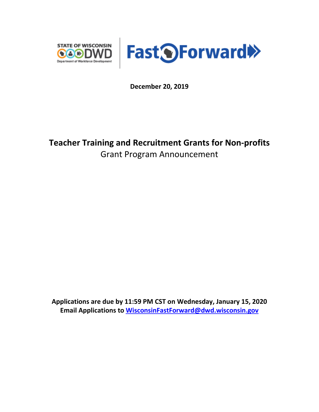



**December 20, 2019**

# **Teacher Training and Recruitment Grants for Non-profits** Grant Program Announcement

**Applications are due by 11:59 PM CST on Wednesday, January 15, 2020 Email Applications to [WisconsinFastForward@dwd.wisconsin.gov](mailto:WisconsinFastForward@dwd.wisconsin.gov)**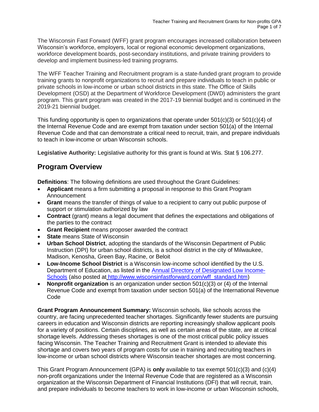The Wisconsin Fast Forward (WFF) grant program encourages increased collaboration between Wisconsin's workforce, employers, local or regional economic development organizations, workforce development boards, post-secondary institutions, and private training providers to develop and implement business-led training programs.

The WFF Teacher Training and Recruitment program is a state-funded grant program to provide training grants to nonprofit organizations to recruit and prepare individuals to teach in public or private schools in low-income or urban school districts in this state. The Office of Skills Development (OSD) at the Department of Workforce Development (DWD) administers the grant program. This grant program was created in the 2017-19 biennial budget and is continued in the 2019-21 biennial budget.

This funding opportunity is open to organizations that operate under 501(c)(3) or 501(c)(4) of the Internal Revenue Code and are exempt from taxation under section 501(a) of the Internal Revenue Code and that can demonstrate a critical need to recruit, train, and prepare individuals to teach in low-income or urban Wisconsin schools.

**Legislative Authority:** Legislative authority for this grant is found at Wis. Stat § 106.277.

## **Program Overview**

**Definitions**: The following definitions are used throughout the Grant Guidelines:

- **Applicant** means a firm submitting a proposal in response to this Grant Program Announcement
- **Grant** means the transfer of things of value to a recipient to carry out public purpose of support or stimulation authorized by law
- **Contract** (grant) means a legal document that defines the expectations and obligations of the parties to the contract
- **Grant Recipient** means proposer awarded the contract
- **State** means State of Wisconsin
- **Urban School District**, adopting the standards of the Wisconsin Department of Public Instruction (DPI) for urban school districts, is a school district in the city of Milwaukee, Madison, Kenosha, Green Bay, Racine, or Beloit
- **Low-Income School District** is a Wisconsin low-income school identified by the U.S. Department of Education, as listed in the [Annual Directory of Designated Low Income-](https://studentloans.gov/myDirectLoan/tcliDirectorySearch.action)[Schools](https://studentloans.gov/myDirectLoan/tcliDirectorySearch.action) (also posted at [http://www.wisconsinfastforward.com/wff\\_standard.htm\)](http://www.wisconsinfastforward.com/wff_standard.htm)
- **Nonprofit organization** is an organization under section 501(c)(3) or (4) of the Internal Revenue Code and exempt from taxation under section 501(a) of the International Revenue Code

**Grant Program Announcement Summary:** Wisconsin schools, like schools across the country, are facing unprecedented teacher shortages. Significantly fewer students are pursuing careers in education and Wisconsin districts are reporting increasingly shallow applicant pools for a variety of positions. Certain disciplines, as well as certain areas of the state, are at critical shortage levels. Addressing theses shortages is one of the most critical public policy issues facing Wisconsin. The Teacher Training and Recruitment Grant is intended to alleviate this shortage and covers two years of program costs for use in training and recruiting teachers in low-income or urban school districts where Wisconsin teacher shortages are most concerning.

This Grant Program Announcement (GPA) is **only** available to tax exempt 501(c)(3) and (c)(4) non-profit organizations under the Internal Revenue Code that are registered as a Wisconsin organization at the Wisconsin Department of Financial Institutions (DFI) that will recruit, train, and prepare individuals to become teachers to work in low-income or urban Wisconsin schools,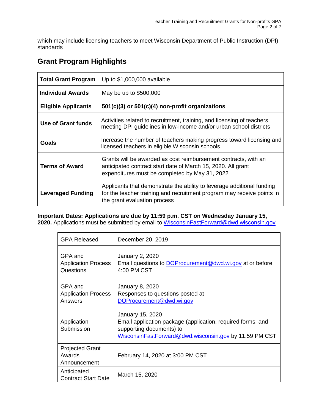which may include licensing teachers to meet Wisconsin Department of Public Instruction (DPI) standards

# **Grant Program Highlights**

| <b>Total Grant Program</b> | Up to \$1,000,000 available                                                                                                                                                       |  |
|----------------------------|-----------------------------------------------------------------------------------------------------------------------------------------------------------------------------------|--|
| <b>Individual Awards</b>   | May be up to \$500,000                                                                                                                                                            |  |
| <b>Eligible Applicants</b> | $501(c)(3)$ or $501(c)(4)$ non-profit organizations                                                                                                                               |  |
| Use of Grant funds         | Activities related to recruitment, training, and licensing of teachers<br>meeting DPI guidelines in low-income and/or urban school districts                                      |  |
| Goals                      | Increase the number of teachers making progress toward licensing and<br>licensed teachers in eligible Wisconsin schools                                                           |  |
| <b>Terms of Award</b>      | Grants will be awarded as cost reimbursement contracts, with an<br>anticipated contract start date of March 15, 2020. All grant<br>expenditures must be completed by May 31, 2022 |  |
| <b>Leveraged Funding</b>   | Applicants that demonstrate the ability to leverage additional funding<br>for the teacher training and recruitment program may receive points in<br>the grant evaluation process  |  |

**Important Dates: Applications are due by 11:59 p.m. CST on Wednesday January 15, 2020.** Applications must be submitted by email to [WisconsinFastForward@dwd.wisconsin.gov](mailto:WisconsinFastForward@dwd.wisconsin.gov)

| <b>GPA Released</b>                                | December 20, 2019                                                                                                                                                     |
|----------------------------------------------------|-----------------------------------------------------------------------------------------------------------------------------------------------------------------------|
| GPA and<br><b>Application Process</b><br>Questions | January 2, 2020<br>Email questions to <b>DOP</b> rocurement @dwd.wi.gov at or before<br>4:00 PM CST                                                                   |
| GPA and<br><b>Application Process</b><br>Answers   | <b>January 8, 2020</b><br>Responses to questions posted at<br>DOProcurement@dwd.wi.gov                                                                                |
| Application<br>Submission                          | January 15, 2020<br>Email application package (application, required forms, and<br>supporting documents) to<br>WisconsinFastForward@dwd.wisconsin.gov by 11:59 PM CST |
| <b>Projected Grant</b><br>Awards<br>Announcement   | February 14, 2020 at 3:00 PM CST                                                                                                                                      |
| Anticipated<br><b>Contract Start Date</b>          | March 15, 2020                                                                                                                                                        |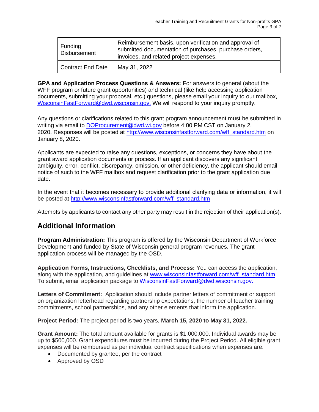| Funding<br>Disbursement | Reimbursement basis, upon verification and approval of<br>submitted documentation of purchases, purchase orders,<br>invoices, and related project expenses. |
|-------------------------|-------------------------------------------------------------------------------------------------------------------------------------------------------------|
| Contract End Date       | May 31, 2022                                                                                                                                                |

**GPA and Application Process Questions & Answers:** For answers to general (about the WFF program or future grant opportunities) and technical (like help accessing application documents, submitting your proposal, etc.) questions, please email your inquiry to our mailbox, [WisconsinFastForward@dwd.wisconsin.gov.](mailto:WisconsinFastForward@dwd.wisconsin.gov) We will respond to your inquiry promptly.

Any questions or clarifications related to this grant program announcement must be submitted in writing via email to [DOProcurement@dwd.wi.gov](mailto:DOProcurement@dwd.wi.gov) before 4:00 PM CST on January 2, 2020. Responses will be posted at [http://www.wisconsinfastforward.com/wff\\_standard.htm](http://www.wisconsinfastforward.com/wff_standard.htm) on January 8, 2020.

Applicants are expected to raise any questions, exceptions, or concerns they have about the grant award application documents or process. If an applicant discovers any significant ambiguity, error, conflict, discrepancy, omission, or other deficiency, the applicant should email notice of such to the WFF mailbox and request clarification prior to the grant application due date.

In the event that it becomes necessary to provide additional clarifying data or information, it will be posted at [http://www.wisconsinfastforward.com/wff\\_standard.htm](http://www.wisconsinfastforward.com/wff_standard.htm)

Attempts by applicants to contact any other party may result in the rejection of their application(s).

### **Additional Information**

**Program Administration:** This program is offered by the Wisconsin Department of Workforce Development and funded by State of Wisconsin general program revenues. The grant application process will be managed by the OSD.

**Application Forms, Instructions, Checklists, and Process:** You can access the application, along with the application, and guidelines at [www.wisconsinfastforward.com/wff\\_standard.htm](http://www.wisconsinfastforward.com/wff_standard.htm) To submit, email application package to [WisconsinFastForward@dwd.wisconsin.gov.](mailto:WisconsinFastForward@dwd.wisconsin.gov)

**Letters of Commitment:** Application should include partner letters of commitment or support on organization letterhead regarding partnership expectations, the number of teacher training commitments, school partnerships, and any other elements that inform the application.

**Project Period:** The project period is two years, **March 15, 2020 to May 31, 2022.**

**Grant Amount:** The total amount available for grants is \$1,000,000. Individual awards may be up to \$500,000. Grant expenditures must be incurred during the Project Period. All eligible grant expenses will be reimbursed as per individual contract specifications when expenses are:

- Documented by grantee, per the contract
- Approved by OSD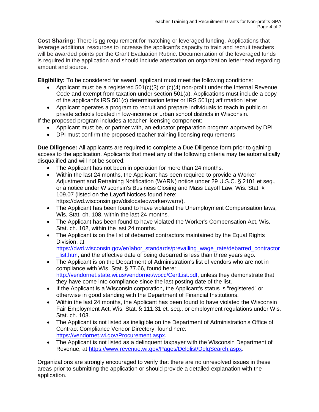**Cost Sharing:** There is no requirement for matching or leveraged funding. Applications that leverage additional resources to increase the applicant's capacity to train and recruit teachers will be awarded points per the Grant Evaluation Rubric. Documentation of the leveraged funds is required in the application and should include attestation on organization letterhead regarding amount and source.

**Eligibility:** To be considered for award, applicant must meet the following conditions:

- Applicant must be a registered  $501(c)(3)$  or  $(c)(4)$  non-profit under the Internal Revenue Code and exempt from taxation under section 501(a). Applications must include a copy of the applicant's IRS 501(c) determination letter or IRS 501(c) affirmation letter
- Applicant operates a program to recruit and prepare individuals to teach in public or private schools located in low-income or urban school districts in Wisconsin.

If the proposed program includes a teacher licensing component:

- Applicant must be, or partner with, an educator preparation program approved by DPI
- DPI must confirm the proposed teacher training licensing requirements

**Due Diligence:** All applicants are required to complete a Due Diligence form prior to gaining access to the application. Applicants that meet any of the following criteria may be automatically disqualified and will not be scored:

- The Applicant has not been in operation for more than 24 months.
- Within the last 24 months, the Applicant has been required to provide a Worker Adjustment and Retraining Notification (WARN) notice under 29 U.S.C. § 2101 et seq., or a notice under Wisconsin's Business Closing and Mass Layoff Law, Wis. Stat. § 109.07 (listed on the Layoff Notices found here: https://dwd.wisconsin.gov/dislocatedworker/warn/).
- The Applicant has been found to have violated the Unemployment Compensation laws, Wis. Stat. ch. 108, within the last 24 months.
- The Applicant has been found to have violated the Worker's Compensation Act, Wis. Stat. ch. 102, within the last 24 months.
- The Applicant is on the list of debarred contractors maintained by the Equal Rights Division, at

[https://dwd.wisconsin.gov/er/labor\\_standards/prevailing\\_wage\\_rate/debarred\\_contractor](https://dwd.wisconsin.gov/er/labor_standards/prevailing_wage_rate/debarred_contractor_list.htm) list.htm, and the effective date of being debarred is less than three years ago.

- The Applicant is on the Department of Administration's list of vendors who are not in compliance with Wis. Stat. § 77.66, found here: [http://vendornet.state.wi.us/vendornet/wocc/CertList.pdf,](http://vendornet.state.wi.us/vendornet/wocc/CertList.pdf) unless they demonstrate that they have come into compliance since the last posting date of the list.
- If the Applicant is a Wisconsin corporation, the Applicant's status is "registered" or otherwise in good standing with the Department of Financial Institutions.
- Within the last 24 months, the Applicant has been found to have violated the Wisconsin Fair Employment Act, Wis. Stat. § 111.31 et. seq., or employment regulations under Wis. Stat. ch. 103.
- The Applicant is not listed as ineligible on the Department of Administration's Office of Contract Compliance Vendor Directory, found here: [https://vendornet.wi.gov/Procurement.aspx.](https://vendornet.wi.gov/Procurement.aspx)
- The Applicant is not listed as a delinquent taxpayer with the Wisconsin Department of Revenue, at [https://www.revenue.wi.gov/Pages/Delqlist/DelqSearch.aspx.](https://www.revenue.wi.gov/Pages/Delqlist/DelqSearch.aspx)

Organizations are strongly encouraged to verify that there are no unresolved issues in these areas prior to submitting the application or should provide a detailed explanation with the application.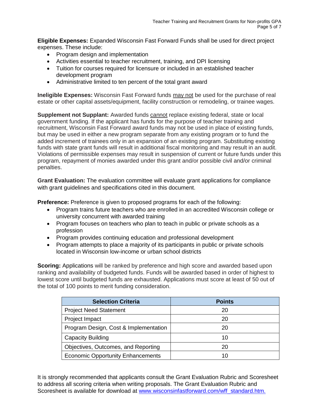**Eligible Expenses:** Expanded Wisconsin Fast Forward Funds shall be used for direct project expenses. These include:

- Program design and implementation
- Activities essential to teacher recruitment, training, and DPI licensing
- Tuition for courses required for licensure or included in an established teacher development program
- Administrative limited to ten percent of the total grant award

**Ineligible Expenses:** Wisconsin Fast Forward funds may not be used for the purchase of real estate or other capital assets/equipment, facility construction or remodeling, or trainee wages.

**Supplement not Supplant:** Awarded funds cannot replace existing federal, state or local government funding. If the applicant has funds for the purpose of teacher training and recruitment, Wisconsin Fast Forward award funds may not be used in place of existing funds, but may be used in either a new program separate from any existing program or to fund the added increment of trainees only in an expansion of an existing program. Substituting existing funds with state grant funds will result in additional fiscal monitoring and may result in an audit. Violations of permissible expenses may result in suspension of current or future funds under this program, repayment of monies awarded under this grant and/or possible civil and/or criminal penalties.

**Grant Evaluation:** The evaluation committee will evaluate grant applications for compliance with grant guidelines and specifications cited in this document.

**Preference:** Preference is given to proposed programs for each of the following:

- Program trains future teachers who are enrolled in an accredited Wisconsin college or university concurrent with awarded training
- Program focuses on teachers who plan to teach in public or private schools as a profession
- Program provides continuing education and professional development
- Program attempts to place a majority of its participants in public or private schools located in Wisconsin low-income or urban school districts

**Scoring:** Applications will be ranked by preference and high score and awarded based upon ranking and availability of budgeted funds. Funds will be awarded based in order of highest to lowest score until budgeted funds are exhausted. Applications must score at least of 50 out of the total of 100 points to merit funding consideration.

| <b>Selection Criteria</b>                | <b>Points</b> |
|------------------------------------------|---------------|
| <b>Project Need Statement</b>            | 20            |
| Project Impact                           | 20            |
| Program Design, Cost & Implementation    | 20            |
| <b>Capacity Building</b>                 | 10            |
| Objectives, Outcomes, and Reporting      | 20            |
| <b>Economic Opportunity Enhancements</b> | 10            |

It is strongly recommended that applicants consult the Grant Evaluation Rubric and Scoresheet to address all scoring criteria when writing proposals. The Grant Evaluation Rubric and Scoresheet is available for download at [www.wisconsinfastforward.com/wff\\_standard.htm.](http://www.wisconsinfastforward.com/wff_standard.htm)